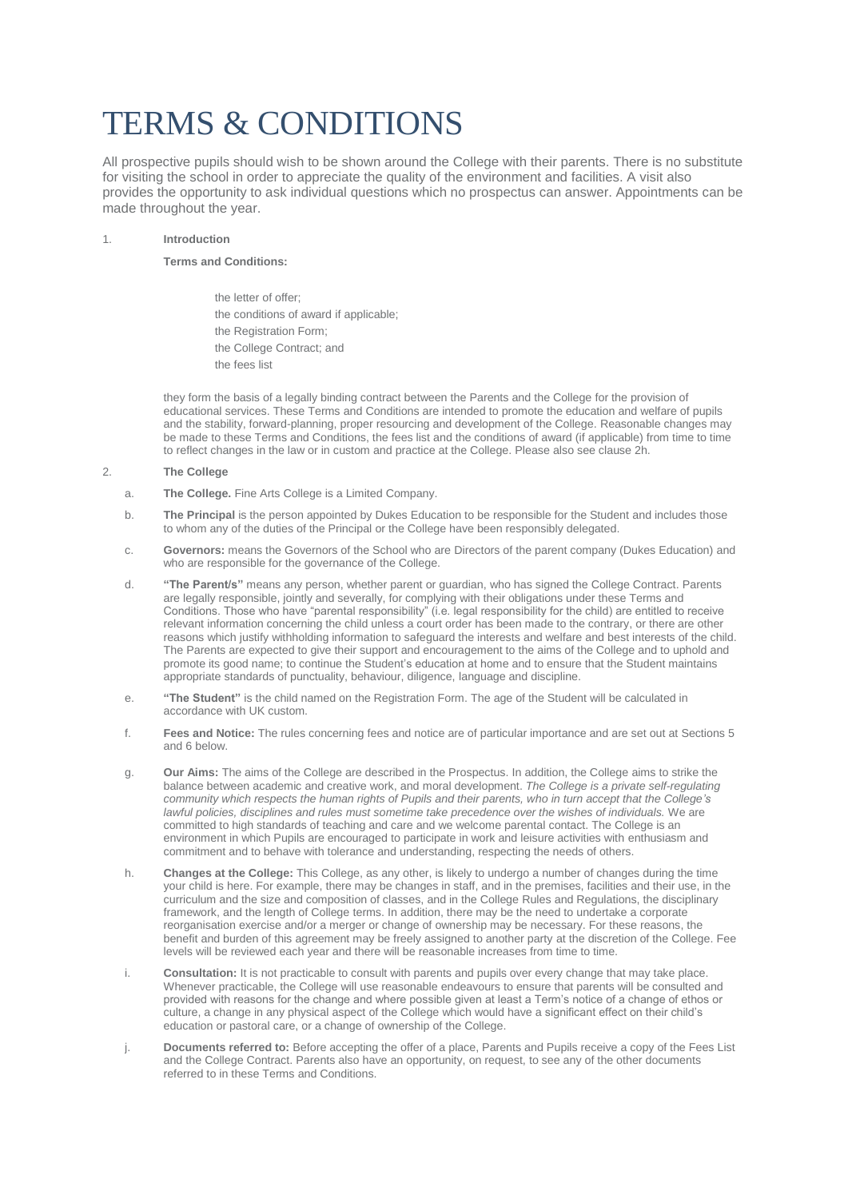# TERMS & CONDITIONS

All prospective pupils should wish to be shown around the College with their parents. There is no substitute for visiting the school in order to appreciate the quality of the environment and facilities. A visit also provides the opportunity to ask individual questions which no prospectus can answer. Appointments can be made throughout the year.

## 1. **Introduction**

## **Terms and Conditions:**

the letter of offer: • the conditions of award if applicable; the Registration Form; the College Contract; and the fees list

they form the basis of a legally binding contract between the Parents and the College for the provision of educational services. These Terms and Conditions are intended to promote the education and welfare of pupils and the stability, forward-planning, proper resourcing and development of the College. Reasonable changes may be made to these Terms and Conditions, the fees list and the conditions of award (if applicable) from time to time to reflect changes in the law or in custom and practice at the College. Please also see clause 2h.

## 2. **The College**

- a. **The College.** Fine Arts College is a Limited Company.
- b. **The Principal** is the person appointed by Dukes Education to be responsible for the Student and includes those to whom any of the duties of the Principal or the College have been responsibly delegated.
- c. **Governors:** means the Governors of the School who are Directors of the parent company (Dukes Education) and who are responsible for the governance of the College.
- d. **"The Parent/s"** means any person, whether parent or guardian, who has signed the College Contract. Parents are legally responsible, jointly and severally, for complying with their obligations under these Terms and Conditions. Those who have "parental responsibility" (i.e. legal responsibility for the child) are entitled to receive relevant information concerning the child unless a court order has been made to the contrary, or there are other reasons which justify withholding information to safeguard the interests and welfare and best interests of the child. The Parents are expected to give their support and encouragement to the aims of the College and to uphold and promote its good name; to continue the Student's education at home and to ensure that the Student maintains appropriate standards of punctuality, behaviour, diligence, language and discipline.
- e. **"The Student"** is the child named on the Registration Form. The age of the Student will be calculated in accordance with UK custom.
- f. **Fees and Notice:** The rules concerning fees and notice are of particular importance and are set out at Sections 5 and 6 below.
- g. **Our Aims:** The aims of the College are described in the Prospectus. In addition, the College aims to strike the balance between academic and creative work, and moral development. *The College is a private self-regulating community which respects the human rights of Pupils and their parents, who in turn accept that the College's lawful policies, disciplines and rules must sometime take precedence over the wishes of individuals.* We are committed to high standards of teaching and care and we welcome parental contact. The College is an environment in which Pupils are encouraged to participate in work and leisure activities with enthusiasm and commitment and to behave with tolerance and understanding, respecting the needs of others.
- h. **Changes at the College:** This College, as any other, is likely to undergo a number of changes during the time your child is here. For example, there may be changes in staff, and in the premises, facilities and their use, in the curriculum and the size and composition of classes, and in the College Rules and Regulations, the disciplinary framework, and the length of College terms. In addition, there may be the need to undertake a corporate reorganisation exercise and/or a merger or change of ownership may be necessary. For these reasons, the benefit and burden of this agreement may be freely assigned to another party at the discretion of the College. Fee levels will be reviewed each year and there will be reasonable increases from time to time.
- i. **Consultation:** It is not practicable to consult with parents and pupils over every change that may take place. Whenever practicable, the College will use reasonable endeavours to ensure that parents will be consulted and provided with reasons for the change and where possible given at least a Term's notice of a change of ethos or culture, a change in any physical aspect of the College which would have a significant effect on their child's education or pastoral care, or a change of ownership of the College.
- j. **Documents referred to:** Before accepting the offer of a place, Parents and Pupils receive a copy of the Fees List and the College Contract. Parents also have an opportunity, on request, to see any of the other documents referred to in these Terms and Conditions.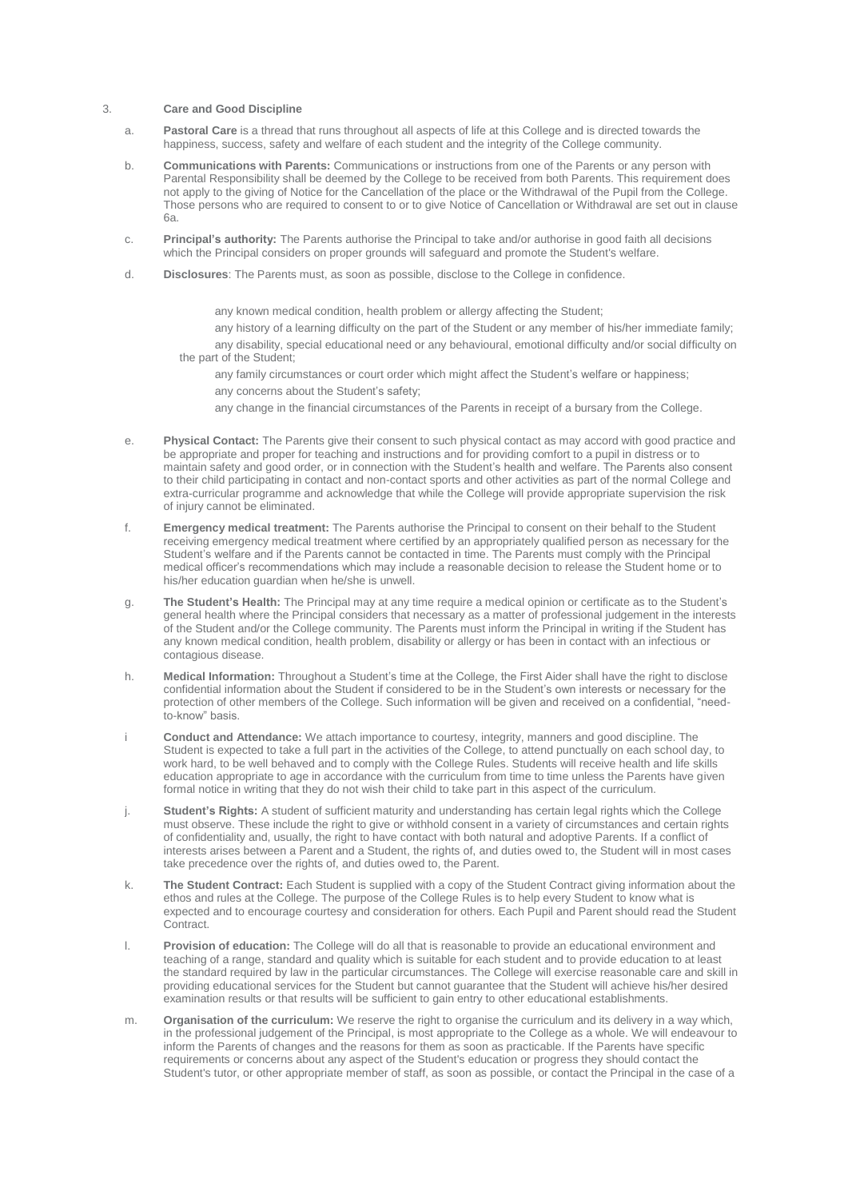#### 3. **Care and Good Discipline**

- a. **Pastoral Care** is a thread that runs throughout all aspects of life at this College and is directed towards the happiness, success, safety and welfare of each student and the integrity of the College community.
- b. **Communications with Parents:** Communications or instructions from one of the Parents or any person with Parental Responsibility shall be deemed by the College to be received from both Parents. This requirement does not apply to the giving of Notice for the Cancellation of the place or the Withdrawal of the Pupil from the College. Those persons who are required to consent to or to give Notice of Cancellation or Withdrawal are set out in clause 6a.
- c. **Principal's authority:** The Parents authorise the Principal to take and/or authorise in good faith all decisions which the Principal considers on proper grounds will safeguard and promote the Student's welfare.
- d. **Disclosures**: The Parents must, as soon as possible, disclose to the College in confidence.
	- any known medical condition, health problem or allergy affecting the Student;

• any history of a learning difficulty on the part of the Student or any member of his/her immediate family; • any disability, special educational need or any behavioural, emotional difficulty and/or social difficulty on the part of the Student;

• any family circumstances or court order which might affect the Student's welfare or happiness;

- any concerns about the Student's safety;
- any change in the financial circumstances of the Parents in receipt of a bursary from the College.
- e. **Physical Contact:** The Parents give their consent to such physical contact as may accord with good practice and be appropriate and proper for teaching and instructions and for providing comfort to a pupil in distress or to maintain safety and good order, or in connection with the Student's health and welfare. The Parents also consent to their child participating in contact and non-contact sports and other activities as part of the normal College and extra-curricular programme and acknowledge that while the College will provide appropriate supervision the risk of injury cannot be eliminated.
- f. **Emergency medical treatment:** The Parents authorise the Principal to consent on their behalf to the Student receiving emergency medical treatment where certified by an appropriately qualified person as necessary for the Student's welfare and if the Parents cannot be contacted in time. The Parents must comply with the Principal medical officer's recommendations which may include a reasonable decision to release the Student home or to his/her education guardian when he/she is unwell.
- g. **The Student's Health:** The Principal may at any time require a medical opinion or certificate as to the Student's general health where the Principal considers that necessary as a matter of professional judgement in the interests of the Student and/or the College community. The Parents must inform the Principal in writing if the Student has any known medical condition, health problem, disability or allergy or has been in contact with an infectious or contagious disease.
- h. **Medical Information:** Throughout a Student's time at the College, the First Aider shall have the right to disclose confidential information about the Student if considered to be in the Student's own interests or necessary for the protection of other members of the College. Such information will be given and received on a confidential, "needto-know" basis.
- i **Conduct and Attendance:** We attach importance to courtesy, integrity, manners and good discipline. The Student is expected to take a full part in the activities of the College, to attend punctually on each school day, to work hard, to be well behaved and to comply with the College Rules. Students will receive health and life skills education appropriate to age in accordance with the curriculum from time to time unless the Parents have given formal notice in writing that they do not wish their child to take part in this aspect of the curriculum.
- j. **Student's Rights:** A student of sufficient maturity and understanding has certain legal rights which the College must observe. These include the right to give or withhold consent in a variety of circumstances and certain rights of confidentiality and, usually, the right to have contact with both natural and adoptive Parents. If a conflict of interests arises between a Parent and a Student, the rights of, and duties owed to, the Student will in most cases take precedence over the rights of, and duties owed to, the Parent.
- k. **The Student Contract:** Each Student is supplied with a copy of the Student Contract giving information about the ethos and rules at the College. The purpose of the College Rules is to help every Student to know what is expected and to encourage courtesy and consideration for others. Each Pupil and Parent should read the Student Contract.
- l. **Provision of education:** The College will do all that is reasonable to provide an educational environment and teaching of a range, standard and quality which is suitable for each student and to provide education to at least the standard required by law in the particular circumstances. The College will exercise reasonable care and skill in providing educational services for the Student but cannot guarantee that the Student will achieve his/her desired examination results or that results will be sufficient to gain entry to other educational establishments.
- m. **Organisation of the curriculum:** We reserve the right to organise the curriculum and its delivery in a way which, in the professional judgement of the Principal, is most appropriate to the College as a whole. We will endeavour to inform the Parents of changes and the reasons for them as soon as practicable. If the Parents have specific requirements or concerns about any aspect of the Student's education or progress they should contact the Student's tutor, or other appropriate member of staff, as soon as possible, or contact the Principal in the case of a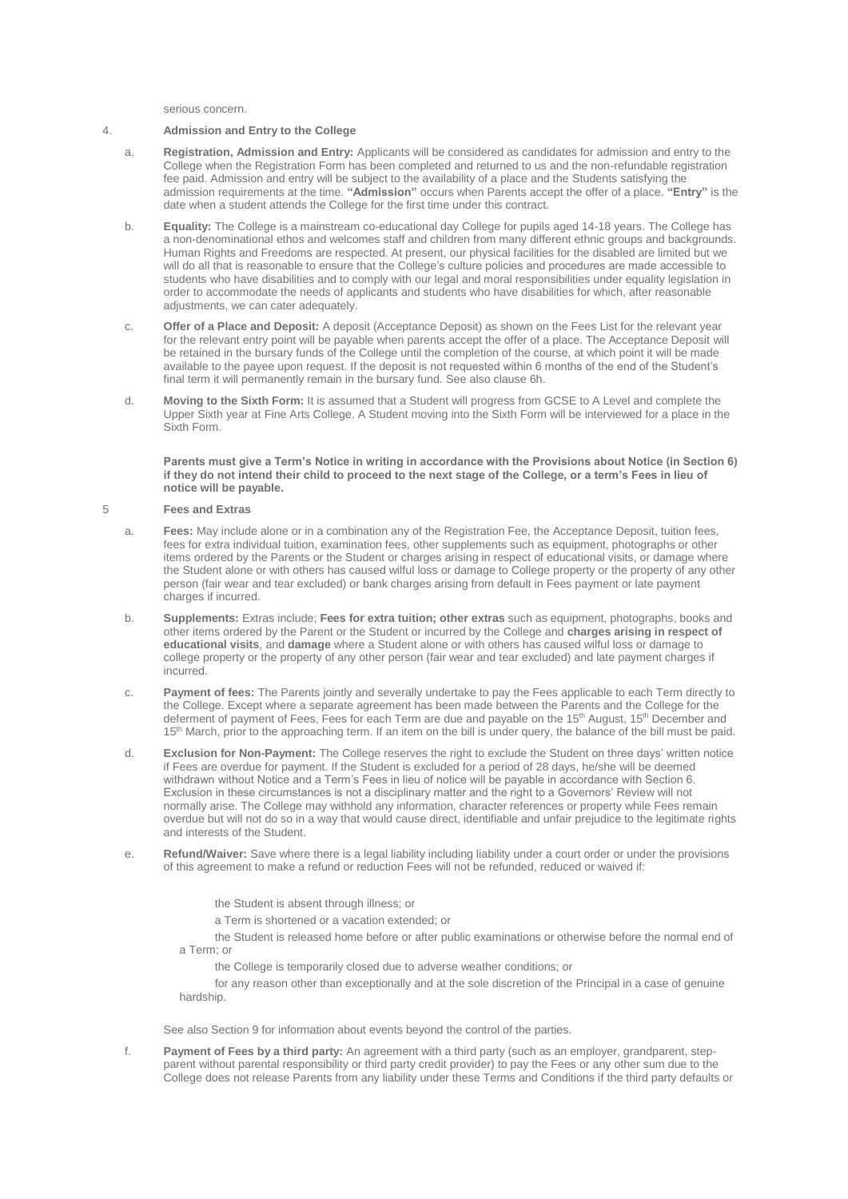serious concern.

#### 4. **Admission and Entry to the College**

- a. **Registration, Admission and Entry:** Applicants will be considered as candidates for admission and entry to the College when the Registration Form has been completed and returned to us and the non-refundable registration fee paid. Admission and entry will be subject to the availability of a place and the Students satisfying the admission requirements at the time. **"Admission"** occurs when Parents accept the offer of a place. **"Entry"** is the date when a student attends the College for the first time under this contract.
- b. **Equality:** The College is a mainstream co-educational day College for pupils aged 14-18 years. The College has a non-denominational ethos and welcomes staff and children from many different ethnic groups and backgrounds. Human Rights and Freedoms are respected. At present, our physical facilities for the disabled are limited but we will do all that is reasonable to ensure that the College's culture policies and procedures are made accessible to students who have disabilities and to comply with our legal and moral responsibilities under equality legislation in order to accommodate the needs of applicants and students who have disabilities for which, after reasonable adjustments, we can cater adequately.
- c. **Offer of a Place and Deposit:** A deposit (Acceptance Deposit) as shown on the Fees List for the relevant year for the relevant entry point will be payable when parents accept the offer of a place. The Acceptance Deposit will be retained in the bursary funds of the College until the completion of the course, at which point it will be made available to the payee upon request. If the deposit is not requested within 6 months of the end of the Student's final term it will permanently remain in the bursary fund. See also clause 6h.
- d. **Moving to the Sixth Form:** It is assumed that a Student will progress from GCSE to A Level and complete the Upper Sixth year at Fine Arts College. A Student moving into the Sixth Form will be interviewed for a place in the Sixth Form.

**Parents must give a Term's Notice in writing in accordance with the Provisions about Notice (in Section 6) if they do not intend their child to proceed to the next stage of the College, or a term's Fees in lieu of notice will be payable.**

## 5 **Fees and Extras**

- a. **Fees:** May include alone or in a combination any of the Registration Fee, the Acceptance Deposit, tuition fees, fees for extra individual tuition, examination fees, other supplements such as equipment, photographs or other items ordered by the Parents or the Student or charges arising in respect of educational visits, or damage where the Student alone or with others has caused wilful loss or damage to College property or the property of any other person (fair wear and tear excluded) or bank charges arising from default in Fees payment or late payment charges if incurred.
- b. **Supplements:** Extras include; **Fees for extra tuition; other extras** such as equipment, photographs, books and other items ordered by the Parent or the Student or incurred by the College and **charges arising in respect of educational visits**, and **damage** where a Student alone or with others has caused wilful loss or damage to college property or the property of any other person (fair wear and tear excluded) and late payment charges if incurred.
- c. **Payment of fees:** The Parents jointly and severally undertake to pay the Fees applicable to each Term directly to the College. Except where a separate agreement has been made between the Parents and the College for the deferment of payment of Fees, Fees for each Term are due and payable on the 15<sup>th</sup> August, 15<sup>th</sup> December and 15<sup>th</sup> March, prior to the approaching term. If an item on the bill is under query, the balance of the bill must be paid.
- d. **Exclusion for Non-Payment:** The College reserves the right to exclude the Student on three days' written notice if Fees are overdue for payment. If the Student is excluded for a period of 28 days, he/she will be deemed withdrawn without Notice and a Term's Fees in lieu of notice will be payable in accordance with Section 6. Exclusion in these circumstances is not a disciplinary matter and the right to a Governors' Review will not normally arise. The College may withhold any information, character references or property while Fees remain overdue but will not do so in a way that would cause direct, identifiable and unfair prejudice to the legitimate rights and interests of the Student.
- e. **Refund/Waiver:** Save where there is a legal liability including liability under a court order or under the provisions of this agreement to make a refund or reduction Fees will not be refunded, reduced or waived if:
	- the Student is absent through illness; or
	- a Term is shortened or a vacation extended; or

• the Student is released home before or after public examinations or otherwise before the normal end of a Term; or

• the College is temporarily closed due to adverse weather conditions; or

• for any reason other than exceptionally and at the sole discretion of the Principal in a case of genuine hardship.

See also Section 9 for information about events beyond the control of the parties.

f. **Payment of Fees by a third party:** An agreement with a third party (such as an employer, grandparent, stepparent without parental responsibility or third party credit provider) to pay the Fees or any other sum due to the College does not release Parents from any liability under these Terms and Conditions if the third party defaults or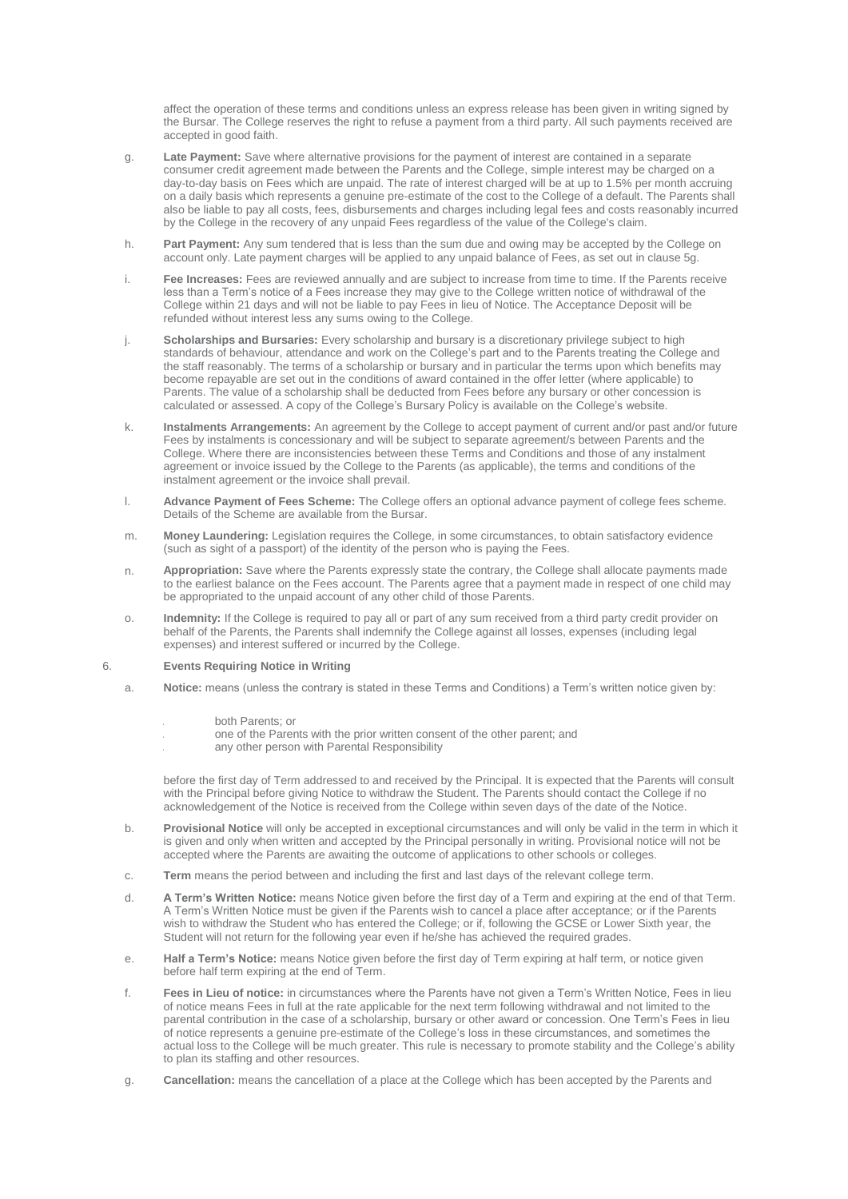affect the operation of these terms and conditions unless an express release has been given in writing signed by the Bursar. The College reserves the right to refuse a payment from a third party. All such payments received are accepted in good faith.

- g. **Late Payment:** Save where alternative provisions for the payment of interest are contained in a separate consumer credit agreement made between the Parents and the College, simple interest may be charged on a day-to-day basis on Fees which are unpaid. The rate of interest charged will be at up to 1.5% per month accruing on a daily basis which represents a genuine pre-estimate of the cost to the College of a default. The Parents shall also be liable to pay all costs, fees, disbursements and charges including legal fees and costs reasonably incurred by the College in the recovery of any unpaid Fees regardless of the value of the College's claim.
- h. **Part Payment:** Any sum tendered that is less than the sum due and owing may be accepted by the College on account only. Late payment charges will be applied to any unpaid balance of Fees, as set out in clause 5g.
- i. **Fee Increases:** Fees are reviewed annually and are subject to increase from time to time. If the Parents receive less than a Term's notice of a Fees increase they may give to the College written notice of withdrawal of the College within 21 days and will not be liable to pay Fees in lieu of Notice. The Acceptance Deposit will be refunded without interest less any sums owing to the College.
- j. **Scholarships and Bursaries:** Every scholarship and bursary is a discretionary privilege subject to high standards of behaviour, attendance and work on the College's part and to the Parents treating the College and the staff reasonably. The terms of a scholarship or bursary and in particular the terms upon which benefits may become repayable are set out in the conditions of award contained in the offer letter (where applicable) to Parents. The value of a scholarship shall be deducted from Fees before any bursary or other concession is calculated or assessed. A copy of the College's Bursary Policy is available on the College's website.
- k. **Instalments Arrangements:** An agreement by the College to accept payment of current and/or past and/or future Fees by instalments is concessionary and will be subject to separate agreement/s between Parents and the College. Where there are inconsistencies between these Terms and Conditions and those of any instalment agreement or invoice issued by the College to the Parents (as applicable), the terms and conditions of the instalment agreement or the invoice shall prevail.
- l. **Advance Payment of Fees Scheme:** The College offers an optional advance payment of college fees scheme. Details of the Scheme are available from the Bursar.
- m. **Money Laundering:** Legislation requires the College, in some circumstances, to obtain satisfactory evidence (such as sight of a passport) of the identity of the person who is paying the Fees.
- n. **Appropriation:** Save where the Parents expressly state the contrary, the College shall allocate payments made to the earliest balance on the Fees account. The Parents agree that a payment made in respect of one child may be appropriated to the unpaid account of any other child of those Parents.
- o. **Indemnity:** If the College is required to pay all or part of any sum received from a third party credit provider on behalf of the Parents, the Parents shall indemnify the College against all losses, expenses (including legal expenses) and interest suffered or incurred by the College.

## 6. **Events Requiring Notice in Writing**

- a. **Notice:** means (unless the contrary is stated in these Terms and Conditions) a Term's written notice given by:
	- i. both Parents; or
	- one of the Parents with the prior written consent of the other parent; and
	- any other person with Parental Responsibility

before the first day of Term addressed to and received by the Principal. It is expected that the Parents will consult with the Principal before giving Notice to withdraw the Student. The Parents should contact the College if no acknowledgement of the Notice is received from the College within seven days of the date of the Notice.

- b. **Provisional Notice** will only be accepted in exceptional circumstances and will only be valid in the term in which it is given and only when written and accepted by the Principal personally in writing. Provisional notice will not be accepted where the Parents are awaiting the outcome of applications to other schools or colleges.
- c. **Term** means the period between and including the first and last days of the relevant college term.
- d. **A Term's Written Notice:** means Notice given before the first day of a Term and expiring at the end of that Term. A Term's Written Notice must be given if the Parents wish to cancel a place after acceptance; or if the Parents wish to withdraw the Student who has entered the College; or if, following the GCSE or Lower Sixth year, the Student will not return for the following year even if he/she has achieved the required grades.
- e. **Half a Term's Notice:** means Notice given before the first day of Term expiring at half term, or notice given before half term expiring at the end of Term.
- f. **Fees in Lieu of notice:** in circumstances where the Parents have not given a Term's Written Notice, Fees in lieu of notice means Fees in full at the rate applicable for the next term following withdrawal and not limited to the parental contribution in the case of a scholarship, bursary or other award or concession. One Term's Fees in lieu of notice represents a genuine pre-estimate of the College's loss in these circumstances, and sometimes the actual loss to the College will be much greater. This rule is necessary to promote stability and the College's ability to plan its staffing and other resources.
- g. **Cancellation:** means the cancellation of a place at the College which has been accepted by the Parents and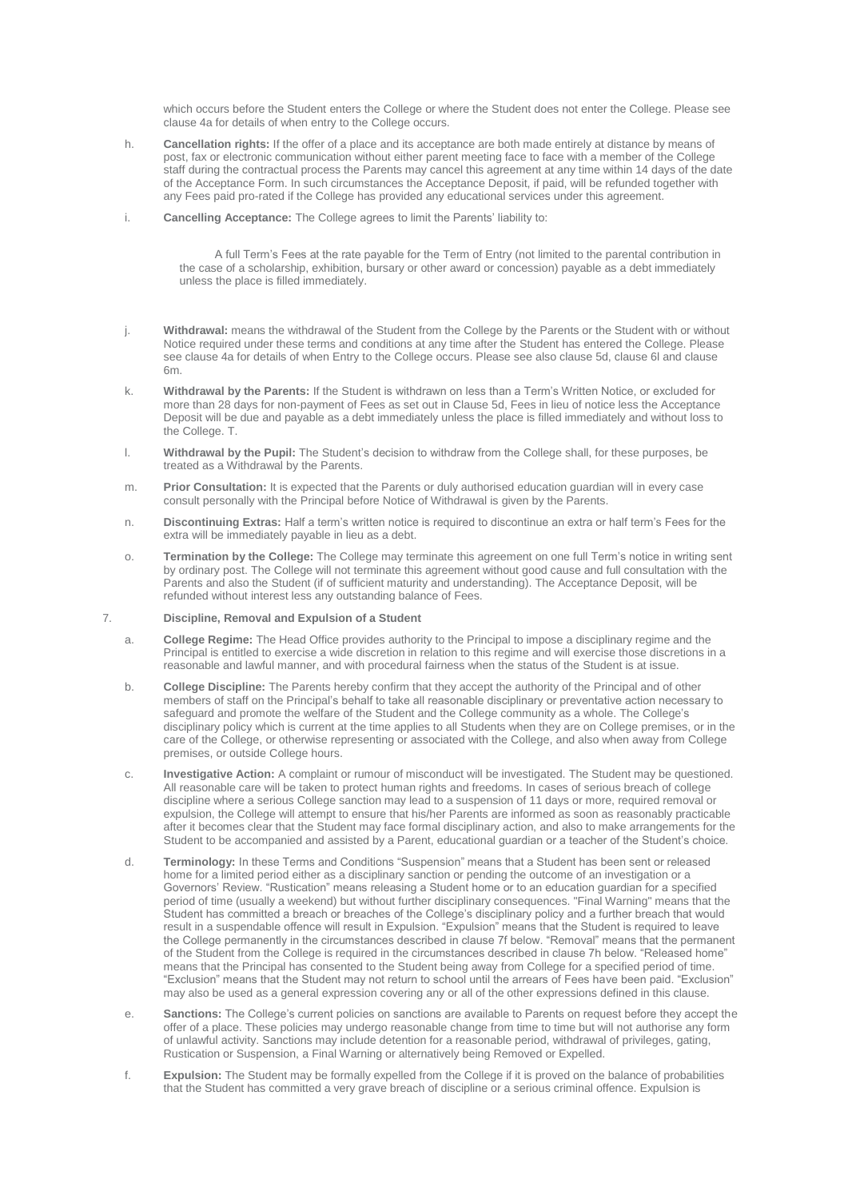which occurs before the Student enters the College or where the Student does not enter the College. Please see clause 4a for details of when entry to the College occurs.

- h. **Cancellation rights:** If the offer of a place and its acceptance are both made entirely at distance by means of post, fax or electronic communication without either parent meeting face to face with a member of the College staff during the contractual process the Parents may cancel this agreement at any time within 14 days of the date of the Acceptance Form. In such circumstances the Acceptance Deposit, if paid, will be refunded together with any Fees paid pro-rated if the College has provided any educational services under this agreement.
- i. **Cancelling Acceptance:** The College agrees to limit the Parents' liability to:

• A full Term's Fees at the rate payable for the Term of Entry (not limited to the parental contribution in the case of a scholarship, exhibition, bursary or other award or concession) payable as a debt immediately unless the place is filled immediately.

- j. **Withdrawal:** means the withdrawal of the Student from the College by the Parents or the Student with or without Notice required under these terms and conditions at any time after the Student has entered the College. Please see clause 4a for details of when Entry to the College occurs. Please see also clause 5d, clause 6l and clause 6m.
- k. **Withdrawal by the Parents:** If the Student is withdrawn on less than a Term's Written Notice, or excluded for more than 28 days for non-payment of Fees as set out in Clause 5d, Fees in lieu of notice less the Acceptance Deposit will be due and payable as a debt immediately unless the place is filled immediately and without loss to the College. T.
- l. **Withdrawal by the Pupil:** The Student's decision to withdraw from the College shall, for these purposes, be treated as a Withdrawal by the Parents.
- m. **Prior Consultation:** It is expected that the Parents or duly authorised education guardian will in every case consult personally with the Principal before Notice of Withdrawal is given by the Parents.
- n. **Discontinuing Extras:** Half a term's written notice is required to discontinue an extra or half term's Fees for the extra will be immediately payable in lieu as a debt.
- o. **Termination by the College:** The College may terminate this agreement on one full Term's notice in writing sent by ordinary post. The College will not terminate this agreement without good cause and full consultation with the Parents and also the Student (if of sufficient maturity and understanding). The Acceptance Deposit, will be refunded without interest less any outstanding balance of Fees.

## 7. **Discipline, Removal and Expulsion of a Student**

- a. **College Regime:** The Head Office provides authority to the Principal to impose a disciplinary regime and the Principal is entitled to exercise a wide discretion in relation to this regime and will exercise those discretions in a reasonable and lawful manner, and with procedural fairness when the status of the Student is at issue.
- b. **College Discipline:** The Parents hereby confirm that they accept the authority of the Principal and of other members of staff on the Principal's behalf to take all reasonable disciplinary or preventative action necessary to safeguard and promote the welfare of the Student and the College community as a whole. The College's disciplinary policy which is current at the time applies to all Students when they are on College premises, or in the care of the College, or otherwise representing or associated with the College, and also when away from College premises, or outside College hours.
- c. **Investigative Action:** A complaint or rumour of misconduct will be investigated. The Student may be questioned. All reasonable care will be taken to protect human rights and freedoms. In cases of serious breach of college discipline where a serious College sanction may lead to a suspension of 11 days or more, required removal or expulsion, the College will attempt to ensure that his/her Parents are informed as soon as reasonably practicable after it becomes clear that the Student may face formal disciplinary action, and also to make arrangements for the Student to be accompanied and assisted by a Parent, educational guardian or a teacher of the Student's choice.
- d. **Terminology:** In these Terms and Conditions "Suspension" means that a Student has been sent or released home for a limited period either as a disciplinary sanction or pending the outcome of an investigation or a Governors' Review. "Rustication" means releasing a Student home or to an education guardian for a specified period of time (usually a weekend) but without further disciplinary consequences. "Final Warning" means that the Student has committed a breach or breaches of the College's disciplinary policy and a further breach that would result in a suspendable offence will result in Expulsion. "Expulsion" means that the Student is required to leave the College permanently in the circumstances described in clause 7f below. "Removal" means that the permanent of the Student from the College is required in the circumstances described in clause 7h below. "Released home" means that the Principal has consented to the Student being away from College for a specified period of time. "Exclusion" means that the Student may not return to school until the arrears of Fees have been paid. "Exclusion" may also be used as a general expression covering any or all of the other expressions defined in this clause.
- e. **Sanctions:** The College's current policies on sanctions are available to Parents on request before they accept the offer of a place. These policies may undergo reasonable change from time to time but will not authorise any form of unlawful activity. Sanctions may include detention for a reasonable period, withdrawal of privileges, gating, Rustication or Suspension, a Final Warning or alternatively being Removed or Expelled.
- f. **Expulsion:** The Student may be formally expelled from the College if it is proved on the balance of probabilities that the Student has committed a very grave breach of discipline or a serious criminal offence. Expulsion is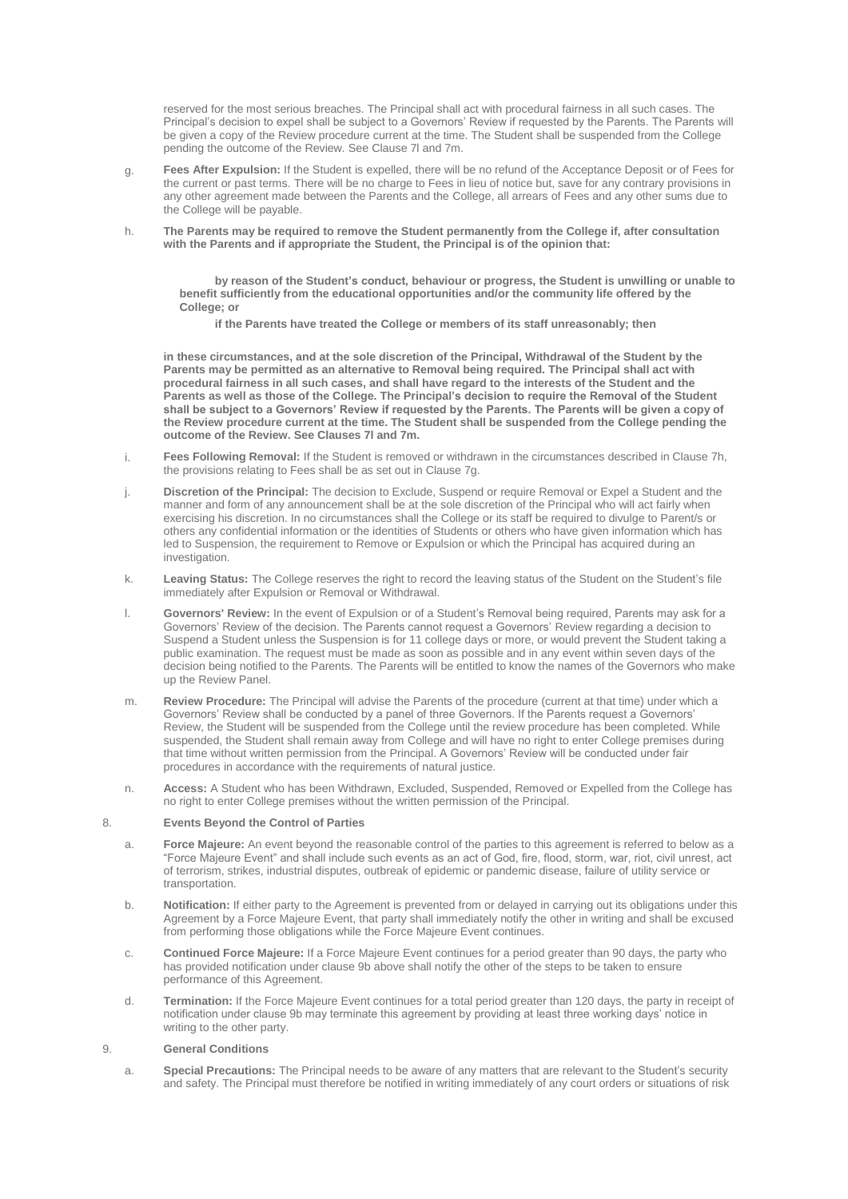reserved for the most serious breaches. The Principal shall act with procedural fairness in all such cases. The Principal's decision to expel shall be subject to a Governors' Review if requested by the Parents. The Parents will be given a copy of the Review procedure current at the time. The Student shall be suspended from the College pending the outcome of the Review. See Clause 7l and 7m.

- g. **Fees After Expulsion:** If the Student is expelled, there will be no refund of the Acceptance Deposit or of Fees for the current or past terms. There will be no charge to Fees in lieu of notice but, save for any contrary provisions in any other agreement made between the Parents and the College, all arrears of Fees and any other sums due to the College will be payable.
- h. **The Parents may be required to remove the Student permanently from the College if, after consultation with the Parents and if appropriate the Student, the Principal is of the opinion that:**

• **by reason of the Student's conduct, behaviour or progress, the Student is unwilling or unable to benefit sufficiently from the educational opportunities and/or the community life offered by the College; or**

• **if the Parents have treated the College or members of its staff unreasonably; then**

**in these circumstances, and at the sole discretion of the Principal, Withdrawal of the Student by the Parents may be permitted as an alternative to Removal being required. The Principal shall act with procedural fairness in all such cases, and shall have regard to the interests of the Student and the Parents as well as those of the College. The Principal's decision to require the Removal of the Student shall be subject to a Governors' Review if requested by the Parents. The Parents will be given a copy of the Review procedure current at the time. The Student shall be suspended from the College pending the outcome of the Review. See Clauses 7l and 7m.**

- i. **Fees Following Removal:** If the Student is removed or withdrawn in the circumstances described in Clause 7h, the provisions relating to Fees shall be as set out in Clause 7g.
- j. **Discretion of the Principal:** The decision to Exclude, Suspend or require Removal or Expel a Student and the manner and form of any announcement shall be at the sole discretion of the Principal who will act fairly when exercising his discretion. In no circumstances shall the College or its staff be required to divulge to Parent/s or others any confidential information or the identities of Students or others who have given information which has led to Suspension, the requirement to Remove or Expulsion or which the Principal has acquired during an investigation
- k. **Leaving Status:** The College reserves the right to record the leaving status of the Student on the Student's file immediately after Expulsion or Removal or Withdrawal.
- l. **Governors' Review:** In the event of Expulsion or of a Student's Removal being required, Parents may ask for a Governors' Review of the decision. The Parents cannot request a Governors' Review regarding a decision to Suspend a Student unless the Suspension is for 11 college days or more, or would prevent the Student taking a public examination. The request must be made as soon as possible and in any event within seven days of the decision being notified to the Parents. The Parents will be entitled to know the names of the Governors who make up the Review Panel.
- m. **Review Procedure:** The Principal will advise the Parents of the procedure (current at that time) under which a Governors' Review shall be conducted by a panel of three Governors. If the Parents request a Governors' Review, the Student will be suspended from the College until the review procedure has been completed. While suspended, the Student shall remain away from College and will have no right to enter College premises during that time without written permission from the Principal. A Governors' Review will be conducted under fair procedures in accordance with the requirements of natural justice.
- n. **Access:** A Student who has been Withdrawn, Excluded, Suspended, Removed or Expelled from the College has no right to enter College premises without the written permission of the Principal.

## 8. **Events Beyond the Control of Parties**

- a. **Force Majeure:** An event beyond the reasonable control of the parties to this agreement is referred to below as a "Force Majeure Event" and shall include such events as an act of God, fire, flood, storm, war, riot, civil unrest, act of terrorism, strikes, industrial disputes, outbreak of epidemic or pandemic disease, failure of utility service or transportation.
- b. **Notification:** If either party to the Agreement is prevented from or delayed in carrying out its obligations under this Agreement by a Force Majeure Event, that party shall immediately notify the other in writing and shall be excused from performing those obligations while the Force Majeure Event continues.
- c. **Continued Force Majeure:** If a Force Majeure Event continues for a period greater than 90 days, the party who has provided notification under clause 9b above shall notify the other of the steps to be taken to ensure performance of this Agreement.
- d. **Termination:** If the Force Majeure Event continues for a total period greater than 120 days, the party in receipt of notification under clause 9b may terminate this agreement by providing at least three working days' notice in writing to the other party.

## 9. **General Conditions**

a. **Special Precautions:** The Principal needs to be aware of any matters that are relevant to the Student's security and safety. The Principal must therefore be notified in writing immediately of any court orders or situations of risk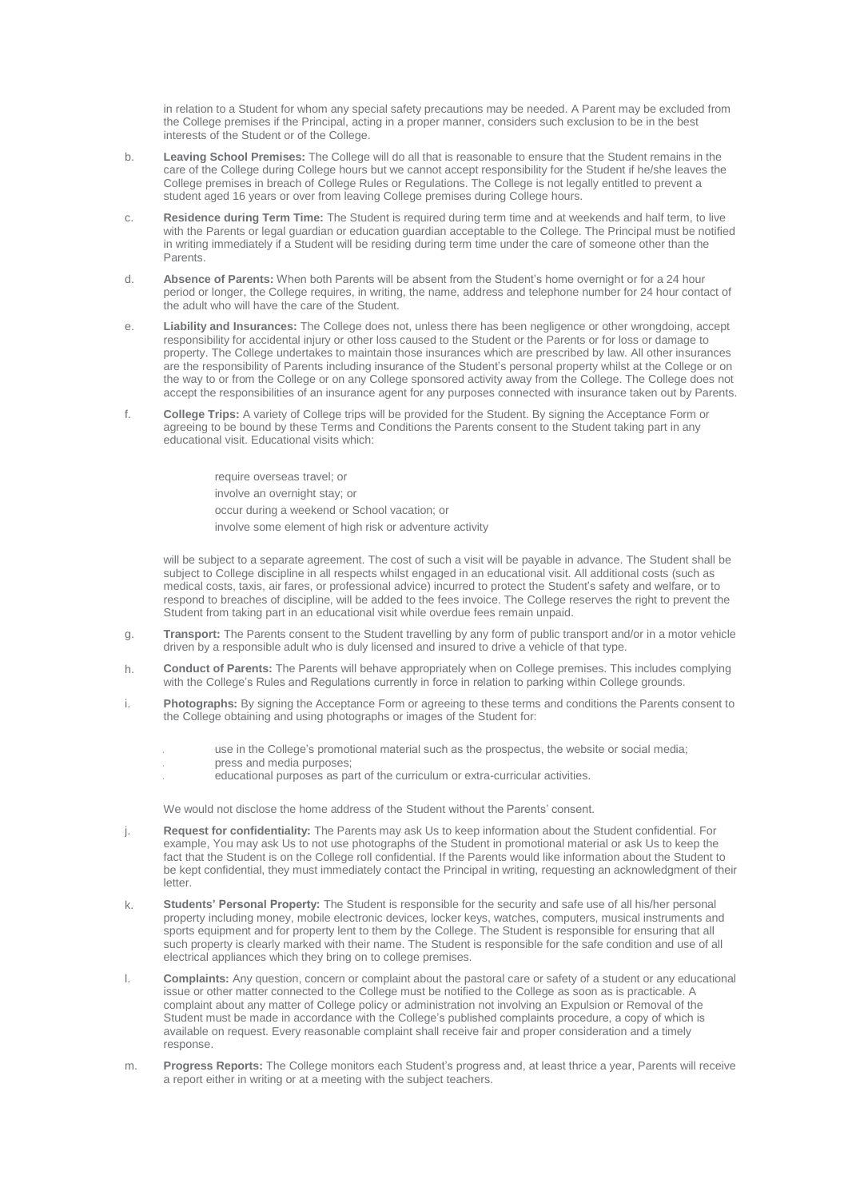in relation to a Student for whom any special safety precautions may be needed. A Parent may be excluded from the College premises if the Principal, acting in a proper manner, considers such exclusion to be in the best interests of the Student or of the College.

- b. **Leaving School Premises:** The College will do all that is reasonable to ensure that the Student remains in the care of the College during College hours but we cannot accept responsibility for the Student if he/she leaves the College premises in breach of College Rules or Regulations. The College is not legally entitled to prevent a student aged 16 years or over from leaving College premises during College hours.
- c. **Residence during Term Time:** The Student is required during term time and at weekends and half term, to live with the Parents or legal guardian or education guardian acceptable to the College. The Principal must be notified in writing immediately if a Student will be residing during term time under the care of someone other than the Parents.
- d. **Absence of Parents:** When both Parents will be absent from the Student's home overnight or for a 24 hour period or longer, the College requires, in writing, the name, address and telephone number for 24 hour contact of the adult who will have the care of the Student.
- e. **Liability and Insurances:** The College does not, unless there has been negligence or other wrongdoing, accept responsibility for accidental injury or other loss caused to the Student or the Parents or for loss or damage to property. The College undertakes to maintain those insurances which are prescribed by law. All other insurances are the responsibility of Parents including insurance of the Student's personal property whilst at the College or on the way to or from the College or on any College sponsored activity away from the College. The College does not accept the responsibilities of an insurance agent for any purposes connected with insurance taken out by Parents.
- f. **College Trips:** A variety of College trips will be provided for the Student. By signing the Acceptance Form or agreeing to be bound by these Terms and Conditions the Parents consent to the Student taking part in any educational visit. Educational visits which:

• require overseas travel; or • involve an overnight stay; or • occur during a weekend or School vacation; or involve some element of high risk or adventure activity

will be subject to a separate agreement. The cost of such a visit will be payable in advance. The Student shall be subject to College discipline in all respects whilst engaged in an educational visit. All additional costs (such as medical costs, taxis, air fares, or professional advice) incurred to protect the Student's safety and welfare, or to respond to breaches of discipline, will be added to the fees invoice. The College reserves the right to prevent the Student from taking part in an educational visit while overdue fees remain unpaid.

- g. **Transport:** The Parents consent to the Student travelling by any form of public transport and/or in a motor vehicle driven by a responsible adult who is duly licensed and insured to drive a vehicle of that type.
- h. **Conduct of Parents:** The Parents will behave appropriately when on College premises. This includes complying with the College's Rules and Regulations currently in force in relation to parking within College grounds.
- i. **Photographs:** By signing the Acceptance Form or agreeing to these terms and conditions the Parents consent to the College obtaining and using photographs or images of the Student for:
	- use in the College's promotional material such as the prospectus, the website or social media;
	- press and media purposes:
	- educational purposes as part of the curriculum or extra-curricular activities.

We would not disclose the home address of the Student without the Parents' consent.

- j. **Request for confidentiality:** The Parents may ask Us to keep information about the Student confidential. For example, You may ask Us to not use photographs of the Student in promotional material or ask Us to keep the fact that the Student is on the College roll confidential. If the Parents would like information about the Student to be kept confidential, they must immediately contact the Principal in writing, requesting an acknowledgment of their letter.
- k. **Students' Personal Property:** The Student is responsible for the security and safe use of all his/her personal property including money, mobile electronic devices, locker keys, watches, computers, musical instruments and sports equipment and for property lent to them by the College. The Student is responsible for ensuring that all such property is clearly marked with their name. The Student is responsible for the safe condition and use of all electrical appliances which they bring on to college premises.
- l. **Complaints:** Any question, concern or complaint about the pastoral care or safety of a student or any educational issue or other matter connected to the College must be notified to the College as soon as is practicable. A complaint about any matter of College policy or administration not involving an Expulsion or Removal of the Student must be made in accordance with the College's published complaints procedure, a copy of which is available on request. Every reasonable complaint shall receive fair and proper consideration and a timely response.
- m. **Progress Reports:** The College monitors each Student's progress and, at least thrice a year, Parents will receive a report either in writing or at a meeting with the subject teachers.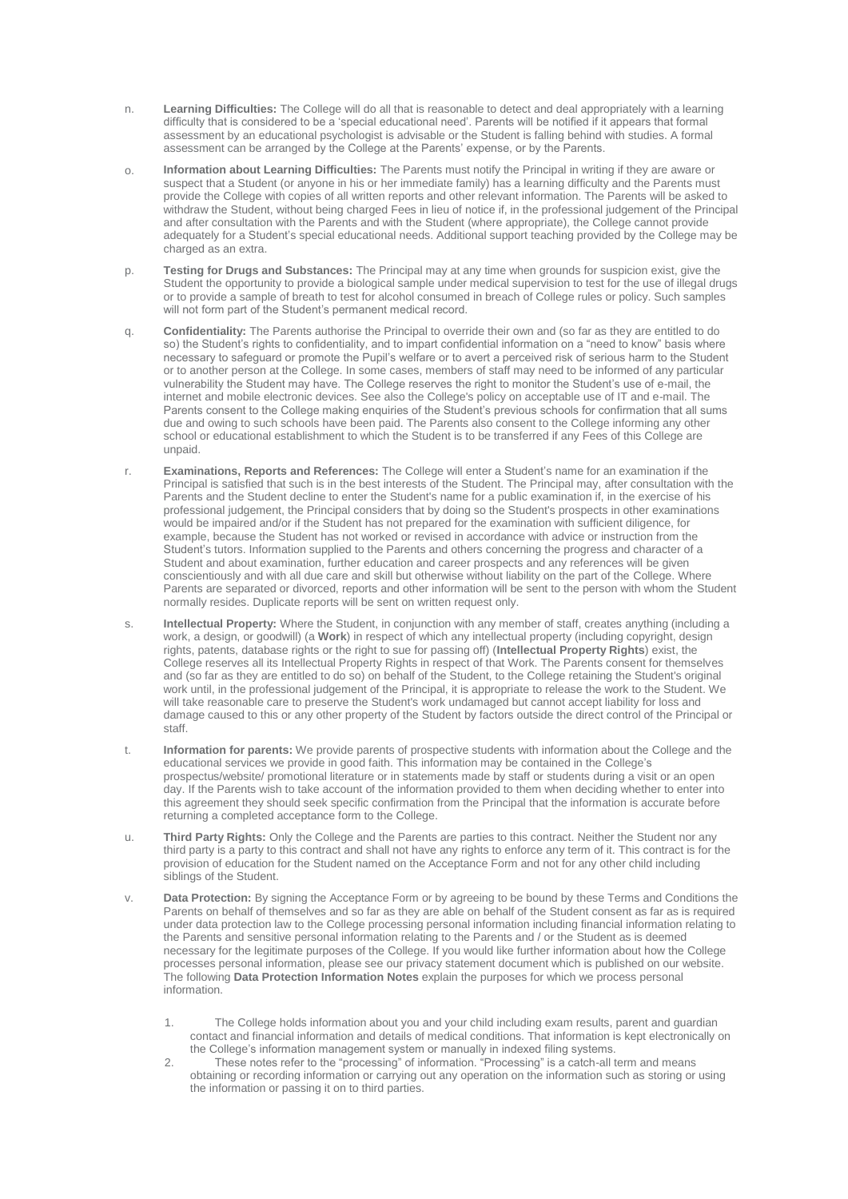- n. **Learning Difficulties:** The College will do all that is reasonable to detect and deal appropriately with a learning difficulty that is considered to be a 'special educational need'. Parents will be notified if it appears that formal assessment by an educational psychologist is advisable or the Student is falling behind with studies. A formal assessment can be arranged by the College at the Parents' expense, or by the Parents.
- o. **Information about Learning Difficulties:** The Parents must notify the Principal in writing if they are aware or suspect that a Student (or anyone in his or her immediate family) has a learning difficulty and the Parents must provide the College with copies of all written reports and other relevant information. The Parents will be asked to withdraw the Student, without being charged Fees in lieu of notice if, in the professional judgement of the Principal and after consultation with the Parents and with the Student (where appropriate), the College cannot provide adequately for a Student's special educational needs. Additional support teaching provided by the College may be charged as an extra.
- p. **Testing for Drugs and Substances:** The Principal may at any time when grounds for suspicion exist, give the Student the opportunity to provide a biological sample under medical supervision to test for the use of illegal drugs or to provide a sample of breath to test for alcohol consumed in breach of College rules or policy. Such samples will not form part of the Student's permanent medical record.
- q. **Confidentiality:** The Parents authorise the Principal to override their own and (so far as they are entitled to do so) the Student's rights to confidentiality, and to impart confidential information on a "need to know" basis where necessary to safeguard or promote the Pupil's welfare or to avert a perceived risk of serious harm to the Student or to another person at the College. In some cases, members of staff may need to be informed of any particular vulnerability the Student may have. The College reserves the right to monitor the Student's use of e-mail, the internet and mobile electronic devices. See also the College's policy on acceptable use of IT and e-mail. The Parents consent to the College making enquiries of the Student's previous schools for confirmation that all sums due and owing to such schools have been paid. The Parents also consent to the College informing any other school or educational establishment to which the Student is to be transferred if any Fees of this College are unpaid.
- r. **Examinations, Reports and References:** The College will enter a Student's name for an examination if the Principal is satisfied that such is in the best interests of the Student. The Principal may, after consultation with the Parents and the Student decline to enter the Student's name for a public examination if, in the exercise of his professional judgement, the Principal considers that by doing so the Student's prospects in other examinations would be impaired and/or if the Student has not prepared for the examination with sufficient diligence, for example, because the Student has not worked or revised in accordance with advice or instruction from the Student's tutors. Information supplied to the Parents and others concerning the progress and character of a Student and about examination, further education and career prospects and any references will be given conscientiously and with all due care and skill but otherwise without liability on the part of the College. Where Parents are separated or divorced, reports and other information will be sent to the person with whom the Student normally resides. Duplicate reports will be sent on written request only.
- s. **Intellectual Property:** Where the Student, in conjunction with any member of staff, creates anything (including a work, a design, or goodwill) (a **Work**) in respect of which any intellectual property (including copyright, design rights, patents, database rights or the right to sue for passing off) (**Intellectual Property Rights**) exist, the College reserves all its Intellectual Property Rights in respect of that Work. The Parents consent for themselves and (so far as they are entitled to do so) on behalf of the Student, to the College retaining the Student's original work until, in the professional judgement of the Principal, it is appropriate to release the work to the Student. We will take reasonable care to preserve the Student's work undamaged but cannot accept liability for loss and damage caused to this or any other property of the Student by factors outside the direct control of the Principal or staff.
- t. **Information for parents:** We provide parents of prospective students with information about the College and the educational services we provide in good faith. This information may be contained in the College's prospectus/website/ promotional literature or in statements made by staff or students during a visit or an open day. If the Parents wish to take account of the information provided to them when deciding whether to enter into this agreement they should seek specific confirmation from the Principal that the information is accurate before returning a completed acceptance form to the College.
- u. **Third Party Rights:** Only the College and the Parents are parties to this contract. Neither the Student nor any third party is a party to this contract and shall not have any rights to enforce any term of it. This contract is for the provision of education for the Student named on the Acceptance Form and not for any other child including siblings of the Student.
- v. **Data Protection:** By signing the Acceptance Form or by agreeing to be bound by these Terms and Conditions the Parents on behalf of themselves and so far as they are able on behalf of the Student consent as far as is required under data protection law to the College processing personal information including financial information relating to the Parents and sensitive personal information relating to the Parents and / or the Student as is deemed necessary for the legitimate purposes of the College. If you would like further information about how the College processes personal information, please see our privacy statement document which is published on our website. The following **Data Protection Information Notes** explain the purposes for which we process personal information.
	- 1. The College holds information about you and your child including exam results, parent and guardian contact and financial information and details of medical conditions. That information is kept electronically on the College's information management system or manually in indexed filing systems.
	- 2. These notes refer to the "processing" of information. "Processing" is a catch-all term and means obtaining or recording information or carrying out any operation on the information such as storing or using the information or passing it on to third parties.